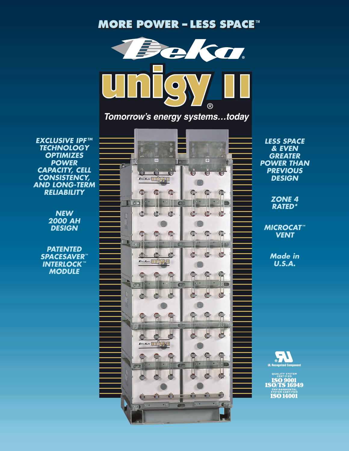## **MORE POWER MORE POWER ––LESS SPACE LESS SPACETM**



*Tomorrow's energy systems…today*

*EXCLUSIVE IPF TM TECHNOLOGY OPTIMIZES POWER CAPACITY, CELL CONSISTENCY, AND LONG-TERM RELIABILITY*

> *NEW 2000 AH DESIGN*

*PATENTED SPACESAVER™ INTERLOCK ™ MODULE*



*LESS SPACE & EVEN GREATER POWER THAN PREVIOUS DESIGN*

> *ZONE 4 RATED\**

*MICROCAT ™ VENT*

> *Made in U.S.A.*



QUALITY SYSTEM<br>CERTIFIED **ISO 9001**<br>**ISO/TS 16949 ISO 14001**